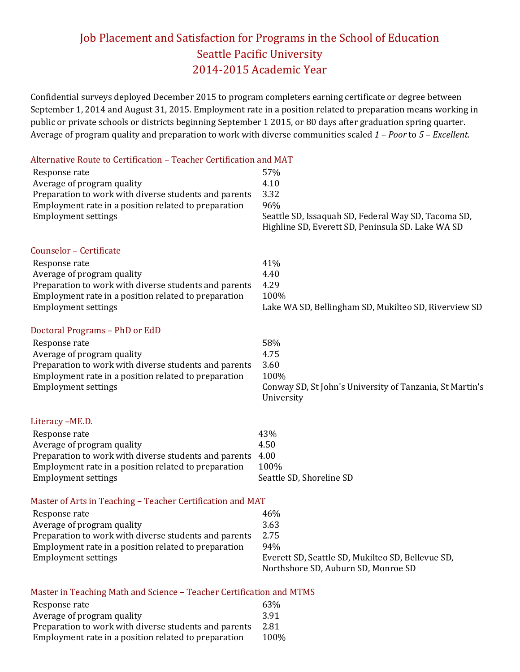## Job Placement and Satisfaction for Programs in the School of Education Seattle Pacific University 2014-2015 Academic Year

Confidential surveys deployed December 2015 to program completers earning certificate or degree between September 1, 2014 and August 31, 2015. Employment rate in a position related to preparation means working in public or private schools or districts beginning September 1 2015, or 80 days after graduation spring quarter. Average of program quality and preparation to work with diverse communities scaled *1 – Poor* to *5 – Excellent*.

| Alternative Route to Certification - Teacher Certification and MAT   |                                                          |
|----------------------------------------------------------------------|----------------------------------------------------------|
| Response rate                                                        | 57%                                                      |
| Average of program quality                                           | 4.10                                                     |
| Preparation to work with diverse students and parents                | 3.32                                                     |
| Employment rate in a position related to preparation                 | 96%                                                      |
| <b>Employment settings</b>                                           | Seattle SD, Issaquah SD, Federal Way SD, Tacoma SD,      |
|                                                                      | Highline SD, Everett SD, Peninsula SD. Lake WA SD        |
|                                                                      |                                                          |
| Counselor - Certificate                                              |                                                          |
| Response rate                                                        | 41%                                                      |
| Average of program quality                                           | 4.40                                                     |
| Preparation to work with diverse students and parents                | 4.29                                                     |
| Employment rate in a position related to preparation                 | 100%                                                     |
| <b>Employment settings</b>                                           | Lake WA SD, Bellingham SD, Mukilteo SD, Riverview SD     |
| Doctoral Programs - PhD or EdD                                       |                                                          |
| Response rate                                                        | 58%                                                      |
| Average of program quality                                           | 4.75                                                     |
| Preparation to work with diverse students and parents                | 3.60                                                     |
| Employment rate in a position related to preparation                 | 100%                                                     |
| <b>Employment settings</b>                                           | Conway SD, St John's University of Tanzania, St Martin's |
|                                                                      | University                                               |
| Literacy -ME.D.                                                      |                                                          |
| Response rate                                                        | 43%                                                      |
| Average of program quality                                           | 4.50                                                     |
| Preparation to work with diverse students and parents                | 4.00                                                     |
| Employment rate in a position related to preparation                 | 100%                                                     |
| <b>Employment settings</b>                                           | Seattle SD, Shoreline SD                                 |
| Master of Arts in Teaching - Teacher Certification and MAT           |                                                          |
| Response rate                                                        | 46%                                                      |
| Average of program quality                                           | 3.63                                                     |
| Preparation to work with diverse students and parents                | 2.75                                                     |
| Employment rate in a position related to preparation                 | 94%                                                      |
| <b>Employment settings</b>                                           | Everett SD, Seattle SD, Mukilteo SD, Bellevue SD,        |
|                                                                      | Northshore SD, Auburn SD, Monroe SD                      |
| Master in Teaching Math and Science - Teacher Certification and MTMS |                                                          |
| Response rate                                                        | 63%                                                      |
| Average of program quality                                           | 3.91                                                     |
| Preparation to work with diverse students and parents                | 2.81                                                     |

Employment rate in a position related to preparation 100%